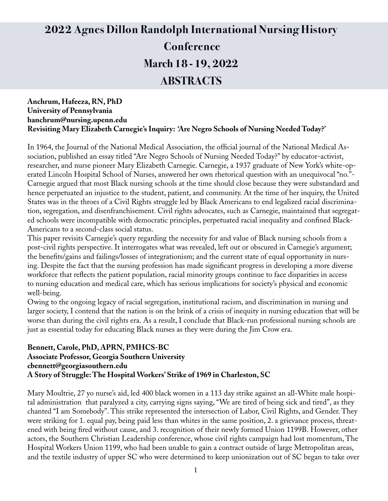# **2022 Agnes Dillon Randolph International Nursing History Conference March 18 - 19, 2022 ABSTRACTS**

#### **Anchrum, Hafeeza, RN, PhD University of Pennsylvania hanchrum@nursing.upenn.edu Revisiting Mary Elizabeth Carnegie's Inquiry: 'Are Negro Schools of Nursing Needed Today?'**

In 1964, the Journal of the National Medical Association, the official journal of the National Medical Association, published an essay titled "Are Negro Schools of Nursing Needed Today?" by educator-activist, researcher, and nurse pioneer Mary Elizabeth Carnegie. Carnegie, a 1937 graduate of New York's white-operated Lincoln Hospital School of Nurses, answered her own rhetorical question with an unequivocal "no."- Carnegie argued that most Black nursing schools at the time should close because they were substandard and hence perpetuated an injustice to the student, patient, and community. At the time of her inquiry, the United States was in the throes of a Civil Rights struggle led by Black Americans to end legalized racial discrimination, segregation, and disenfranchisement. Civil rights advocates, such as Carnegie, maintained that segregated schools were incompatible with democratic principles, perpetuated racial inequality and confined Black-Americans to a second-class social status.

This paper revisits Carnegie's query regarding the necessity for and value of Black nursing schools from a post-civil rights perspective. It interrogates what was revealed, left out or obscured in Carnegie's argument; the benefits/gains and failings/losses of integrationism; and the current state of equal opportunity in nursing. Despite the fact that the nursing profession has made significant progress in developing a more diverse workforce that reflects the patient population, racial minority groups continue to face disparities in access to nursing education and medical care, which has serious implications for society's physical and economic well-being.

Owing to the ongoing legacy of racial segregation, institutional racism, and discrimination in nursing and larger society, I contend that the nation is on the brink of a crisis of inequity in nursing education that will be worse than during the civil rights era. As a result, I conclude that Black-run professional nursing schools are just as essential today for educating Black nurses as they were during the Jim Crow era.

#### **Bennett, Carole, PhD, APRN, PMHCS-BC Associate Professor, Georgia Southern University cbennett@georgiasouthern.edu A Story of Struggle: The Hospital Workers' Strike of 1969 in Charleston, SC**

Mary Moultrie, 27 yo nurse's aid, led 400 black women in a 113 day strike against an all-White male hospital administration that paralyzed a city, carrying signs saying, "We are tired of being sick and tired", as they chanted "I am Somebody". This strike represented the intersection of Labor, Civil Rights, and Gender. They were striking for 1. equal pay, being paid less than whites in the same position, 2. a grievance process, threatened with being fired without cause, and 3. recognition of their newly formed Union 1199B. However, other actors, the Southern Christian Leadership conference, whose civil rights campaign had lost momentum, The Hospital Workers Union 1199, who had been unable to gain a contract outside of large Metropolitan areas, and the textile industry of upper SC who were determined to keep unionization out of SC began to take over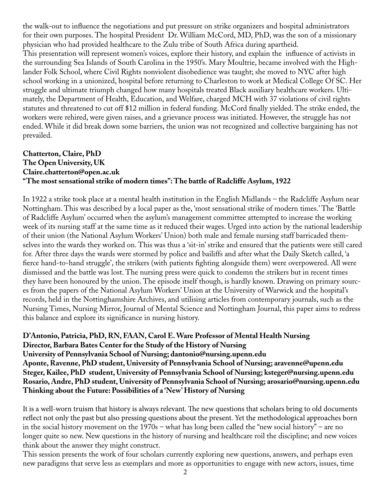the walk-out to influence the negotiations and put pressure on strike organizers and hospital administrators for their own purposes. The hospital President Dr. William McCord, MD, PhD, was the son of a missionary physician who had provided healthcare to the Zulu tribe of South Africa during apartheid. This presentation will represent women's voices, explore their history, and explain the influence of activists in the surrounding Sea Islands of South Carolina in the 1950's. Mary Moultrie, became involved with the Highlander Folk School, where Civil Rights nonviolent disobedience was taught; she moved to NYC after high school working in a unionized, hospital before returning to Charleston to work at Medical College Of SC. Her struggle and ultimate triumph changed how many hospitals treated Black auxiliary healthcare workers. Ultimately, the Department of Health, Education, and Welfare, charged MCH with 37 violations of civil rights statutes and threatened to cut off \$12 million in federal funding. McCord finally yielded. The strike ended, the workers were rehired, were given raises, and a grievance process was initiated. However, the struggle has not ended. While it did break down some barriers, the union was not recognized and collective bargaining has not prevailed.

# **Chatterton, Claire, PhD The Open University, UK Claire.chatterton@open.ac.uk "The most sensational strike of modern times": The battle of Radcliffe Asylum, 1922**

In 1922 a strike took place at a mental health institution in the English Midlands – the Radcliffe Asylum near Nottingham. This was described by a local paper as the, 'most sensational strike of modern times.' The 'Battle of Radcliffe Asylum' occurred when the asylum's management committee attempted to increase the working week of its nursing staff at the same time as it reduced their wages. Urged into action by the national leadership of their union (the National Asylum Workers' Union) both male and female nursing staff barricaded themselves into the wards they worked on. This was thus a 'sit-in' strike and ensured that the patients were still cared for. After three days the wards were stormed by police and bailiffs and after what the Daily Sketch called, 'a fierce hand-to-hand struggle', the strikers (with patients fighting alongside them) were overpowered. All were dismissed and the battle was lost. The nursing press were quick to condemn the strikers but in recent times they have been honoured by the union. The episode itself though, is hardly known. Drawing on primary sources from the papers of the National Asylum Workers' Union at the University of Warwick and the hospital's records, held in the Nottinghamshire Archives, and utilising articles from contemporary journals, such as the Nursing Times, Nursing Mirror, Journal of Mental Science and Nottingham Journal, this paper aims to redress this balance and explore its significance in nursing history.

**D'Antonio, Patricia, PhD, RN, FAAN, Carol E. Ware Professor of Mental Health Nursing Director, Barbara Bates Center for the Study of the History of Nursing University of Pennsylvania School of Nursing; dantonio@nursing.upenn.edu Aponte, Ravenne, PhD student, University of Pennsylvania School of Nursing; aravenne@upenn.edu Steger, Kailee, PhD student, University of Pennsylvania School of Nursing; ksteger@nursing.upenn.edu Rosario, Andre, PhD student, University of Pennsylvania School of Nursing; arosario@nursing.upenn.edu Thinking about the Future: Possibilities of a 'New' History of Nursing**

It is a well-worn truism that history is always relevant. The new questions that scholars bring to old documents reflect not only the past but also pressing questions about the present. Yet the methodological approaches born in the social history movement on the 1970s – what has long been called the "new social history" – are no longer quite so new. New questions in the history of nursing and healthcare roil the discipline; and new voices think about the answer they might construct.

This session presents the work of four scholars currently exploring new questions, answers, and perhaps even new paradigms that serve less as exemplars and more as opportunities to engage with new actors, issues, time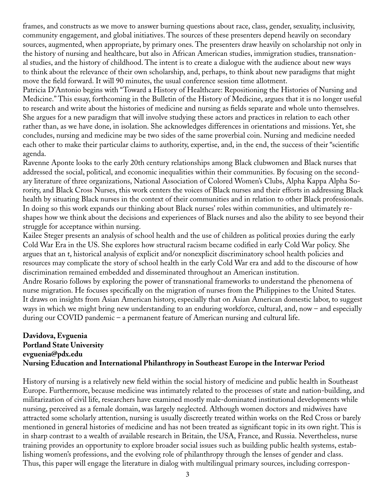frames, and constructs as we move to answer burning questions about race, class, gender, sexuality, inclusivity, community engagement, and global initiatives. The sources of these presenters depend heavily on secondary sources, augmented, when appropriate, by primary ones. The presenters draw heavily on scholarship not only in the history of nursing and healthcare, but also in African American studies, immigration studies, transnational studies, and the history of childhood. The intent is to create a dialogue with the audience about new ways to think about the relevance of their own scholarship, and, perhaps, to think about new paradigms that might move the field forward. It will 90 minutes, the usual conference session time allotment.

Patricia D'Antonio begins with "Toward a History of Healthcare: Repositioning the Histories of Nursing and Medicine." This essay, forthcoming in the Bulletin of the History of Medicine, argues that it is no longer useful to research and write about the histories of medicine and nursing as fields separate and whole unto themselves. She argues for a new paradigm that will involve studying these actors and practices in relation to each other rather than, as we have done, in isolation. She acknowledges differences in orientations and missions. Yet, she concludes, nursing and medicine may be two sides of the same proverbial coin. Nursing and medicine needed each other to make their particular claims to authority, expertise, and, in the end, the success of their "scientific agenda.

Ravenne Aponte looks to the early 20th century relationships among Black clubwomen and Black nurses that addressed the social, political, and economic inequalities within their communities. By focusing on the secondary literature of three organizations, National Association of Colored Women's Clubs, Alpha Kappa Alpha Sorority, and Black Cross Nurses, this work centers the voices of Black nurses and their efforts in addressing Black health by situating Black nurses in the context of their communities and in relation to other Black professionals. In doing so this work expands our thinking about Black nurses' roles within communities, and ultimately reshapes how we think about the decisions and experiences of Black nurses and also the ability to see beyond their struggle for acceptance within nursing.

Kailee Steger presents an analysis of school health and the use of children as political proxies during the early Cold War Era in the US. She explores how structural racism became codified in early Cold War policy. She argues that an t, historical analysis of explicit and/or nonexplicit discriminatory school health policies and resources may complicate the story of school health in the early Cold War era and add to the discourse of how discrimination remained embedded and disseminated throughout an American institution.

Andre Rosario follows by exploring the power of transnational frameworks to understand the phenomena of nurse migration. He focuses specifically on the migration of nurses from the Philippines to the United States. It draws on insights from Asian American history, especially that on Asian American domestic labor, to suggest ways in which we might bring new understanding to an enduring workforce, cultural, and, now – and especially during our COVID pandemic – a permanent feature of American nursing and cultural life.

# **Davidova, Evguenia Portland State University evguenia@pdx.edu Nursing Education and International Philanthropy in Southeast Europe in the Interwar Period**

History of nursing is a relatively new field within the social history of medicine and public health in Southeast Europe. Furthermore, because medicine was intimately related to the processes of state and nation-building, and militarization of civil life, researchers have examined mostly male-dominated institutional developments while nursing, perceived as a female domain, was largely neglected. Although women doctors and midwives have attracted some scholarly attention, nursing is usually discreetly treated within works on the Red Cross or barely mentioned in general histories of medicine and has not been treated as significant topic in its own right. This is in sharp contrast to a wealth of available research in Britain, the USA, France, and Russia. Nevertheless, nurse training provides an opportunity to explore broader social issues such as building public health systems, establishing women's professions, and the evolving role of philanthropy through the lenses of gender and class. Thus, this paper will engage the literature in dialog with multilingual primary sources, including correspon-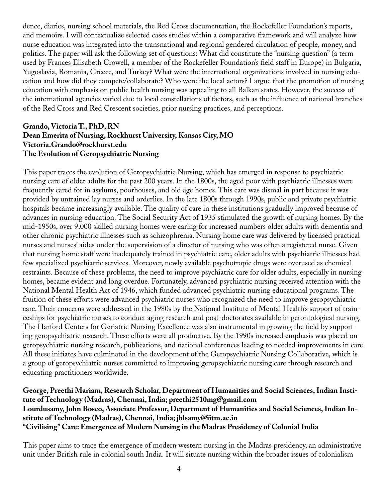dence, diaries, nursing school materials, the Red Cross documentation, the Rockefeller Foundation's reports, and memoirs. I will contextualize selected cases studies within a comparative framework and will analyze how nurse education was integrated into the transnational and regional gendered circulation of people, money, and politics. The paper will ask the following set of questions: What did constitute the "nursing question" (a term used by Frances Elisabeth Crowell, a member of the Rockefeller Foundation's field staff in Europe) in Bulgaria, Yugoslavia, Romania, Greece, and Turkey? What were the international organizations involved in nursing education and how did they compete/collaborate? Who were the local actors? I argue that the promotion of nursing education with emphasis on public health nursing was appealing to all Balkan states. However, the success of the international agencies varied due to local constellations of factors, such as the influence of national branches of the Red Cross and Red Crescent societies, prior nursing practices, and perceptions.

#### **Grando, Victoria T., PhD, RN Dean Emerita of Nursing, Rockhurst University, Kansas City, MO Victoria.Grando@rockhurst.edu The Evolution of Geropsychiatric Nursing**

This paper traces the evolution of Geropsychiatric Nursing, which has emerged in response to psychiatric nursing care of older adults for the past 200 years. In the 1800s, the aged poor with psychiatric illnesses were frequently cared for in asylums, poorhouses, and old age homes. This care was dismal in part because it was provided by untrained lay nurses and orderlies. In the late 1800s through 1990s, public and private psychiatric hospitals became increasingly available. The quality of care in these institutions gradually improved because of advances in nursing education. The Social Security Act of 1935 stimulated the growth of nursing homes. By the mid-1950s, over 9,000 skilled nursing homes were caring for increased numbers older adults with dementia and other chronic psychiatric illnesses such as schizophrenia. Nursing home care was delivered by licensed practical nurses and nurses' aides under the supervision of a director of nursing who was often a registered nurse. Given that nursing home staff were inadequately trained in psychiatric care, older adults with psychiatric illnesses had few specialized psychiatric services. Moreover, newly available psychotropic drugs were overused as chemical restraints. Because of these problems, the need to improve psychiatric care for older adults, especially in nursing homes, became evident and long overdue. Fortunately, advanced psychiatric nursing received attention with the National Mental Health Act of 1946, which funded advanced psychiatric nursing educational programs. The fruition of these efforts were advanced psychiatric nurses who recognized the need to improve geropsychiatric care. Their concerns were addressed in the 1980s by the National Institute of Mental Health's support of traineeships for psychiatric nurses to conduct aging research and post-doctorates available in gerontological nursing. The Harford Centers for Geriatric Nursing Excellence was also instrumental in growing the field by supporting geropsychiatric research. These efforts were all productive. By the 1990s increased emphasis was placed on geropsychiatric nursing research, publications, and national conferences leading to needed improvements in care. All these initiates have culminated in the development of the Geropsychiatric Nursing Collaborative, which is a group of geropsychiatric nurses committed to improving geropsychiatric nursing care through research and educating practitioners worldwide.

**George, Preethi Mariam, Research Scholar, Department of Humanities and Social Sciences, Indian Institute of Technology (Madras), Chennai, India; preethi2510mg@gmail.com Lourdusamy, John Bosco, Associate Professor, Department of Humanities and Social Sciences, Indian Institute of Technology (Madras), Chennai, India; jblsamy@iitm.ac.in "Civilising" Care: Emergence of Modern Nursing in the Madras Presidency of Colonial India**

This paper aims to trace the emergence of modern western nursing in the Madras presidency, an administrative unit under British rule in colonial south India. It will situate nursing within the broader issues of colonialism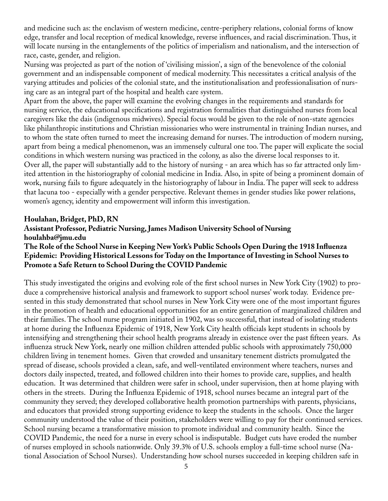and medicine such as: the enclavism of western medicine, centre-periphery relations, colonial forms of know edge, transfer and local reception of medical knowledge, reverse influences, and racial discrimination. Thus, it will locate nursing in the entanglements of the politics of imperialism and nationalism, and the intersection of race, caste, gender, and religion.

Nursing was projected as part of the notion of 'civilising mission', a sign of the benevolence of the colonial government and an indispensable component of medical modernity. This necessitates a critical analysis of the varying attitudes and policies of the colonial state, and the institutionalisation and professionalisation of nursing care as an integral part of the hospital and health care system.

Apart from the above, the paper will examine the evolving changes in the requirements and standards for nursing service, the educational specifications and registration formalities that distinguished nurses from local caregivers like the dais (indigenous midwives). Special focus would be given to the role of non-state agencies like philanthropic institutions and Christian missionaries who were instrumental in training Indian nurses, and to whom the state often turned to meet the increasing demand for nurses. The introduction of modern nursing, apart from being a medical phenomenon, was an immensely cultural one too. The paper will explicate the social conditions in which western nursing was practiced in the colony, as also the diverse local responses to it. Over all, the paper will substantially add to the history of nursing - an area which has so far attracted only limited attention in the historiography of colonial medicine in India. Also, in spite of being a prominent domain of work, nursing fails to figure adequately in the historiography of labour in India. The paper will seek to address that lacuna too - especially with a gender perspective. Relevant themes in gender studies like power relations, women's agency, identity and empowerment will inform this investigation.

#### **Houlahan, Bridget, PhD, RN**

#### **Assistant Professor, Pediatric Nursing, James Madison University School of Nursing houlahba@jmu.edu**

#### **The Role of the School Nurse in Keeping New York's Public Schools Open During the 1918 Influenza Epidemic: Providing Historical Lessons for Today on the Importance of Investing in School Nurses to Promote a Safe Return to School During the COVID Pandemic**

This study investigated the origins and evolving role of the first school nurses in New York City (1902) to produce a comprehensive historical analysis and framework to support school nurses' work today. Evidence presented in this study demonstrated that school nurses in New York City were one of the most important figures in the promotion of health and educational opportunities for an entire generation of marginalized children and their families. The school nurse program initiated in 1902, was so successful, that instead of isolating students at home during the Influenza Epidemic of 1918, New York City health officials kept students in schools by intensifying and strengthening their school health programs already in existence over the past fifteen years. As influenza struck New York, nearly one million children attended public schools with approximately 750,000 children living in tenement homes. Given that crowded and unsanitary tenement districts promulgated the spread of disease, schools provided a clean, safe, and well-ventilated environment where teachers, nurses and doctors daily inspected, treated, and followed children into their homes to provide care, supplies, and health education. It was determined that children were safer in school, under supervision, then at home playing with others in the streets. During the Influenza Epidemic of 1918, school nurses became an integral part of the community they served; they developed collaborative health promotion partnerships with parents, physicians, and educators that provided strong supporting evidence to keep the students in the schools. Once the larger community understood the value of their position, stakeholders were willing to pay for their continued services. School nursing became a transformative mission to promote individual and community health. Since the COVID Pandemic, the need for a nurse in every school is indisputable. Budget cuts have eroded the number of nurses employed in schools nationwide. Only 39.3% of U.S. schools employ a full-time school nurse (National Association of School Nurses). Understanding how school nurses succeeded in keeping children safe in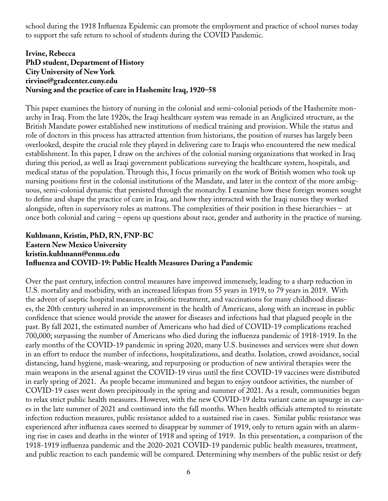school during the 1918 Influenza Epidemic can promote the employment and practice of school nurses today to support the safe return to school of students during the COVID Pandemic.

## **Irvine, Rebecca PhD student, Department of History City University of New York rirvine@gradcenter.cuny.edu Nursing and the practice of care in Hashemite Iraq, 1920–58**

This paper examines the history of nursing in the colonial and semi-colonial periods of the Hashemite monarchy in Iraq. From the late 1920s, the Iraqi healthcare system was remade in an Anglicized structure, as the British Mandate power established new institutions of medical training and provision. While the status and role of doctors in this process has attracted attention from historians, the position of nurses has largely been overlooked, despite the crucial role they played in delivering care to Iraqis who encountered the new medical establishment. In this paper, I draw on the archives of the colonial nursing organizations that worked in Iraq during this period, as well as Iraqi government publications surveying the healthcare system, hospitals, and medical status of the population. Through this, I focus primarily on the work of British women who took up nursing positions first in the colonial institutions of the Mandate, and later in the context of the more ambiguous, semi-colonial dynamic that persisted through the monarchy. I examine how these foreign women sought to define and shape the practice of care in Iraq, and how they interacted with the Iraqi nurses they worked alongside, often in supervisory roles as matrons. The complexities of their position in these hierarchies – at once both colonial and caring – opens up questions about race, gender and authority in the practice of nursing.

# **Kuhlmann, Kristin, PhD, RN, FNP-BC Eastern New Mexico University kristin.kuhlmann@enmu.edu Influenza and COVID-19: Public Health Measures During a Pandemic**

Over the past century, infection control measures have improved immensely, leading to a sharp reduction in U.S. mortality and morbidity, with an increased lifespan from 55 years in 1919, to 79 years in 2019. With the advent of aseptic hospital measures, antibiotic treatment, and vaccinations for many childhood diseases, the 20th century ushered in an improvement in the health of Americans, along with an increase in public confidence that science would provide the answer for diseases and infections had that plagued people in the past. By fall 2021, the estimated number of Americans who had died of COVID-19 complications reached 700,000; surpassing the number of Americans who died during the influenza pandemic of 1918-1919. In the early months of the COVID-19 pandemic in spring 2020, many U.S. businesses and services were shut down in an effort to reduce the number of infections, hospitalizations, and deaths. Isolation, crowd avoidance, social distancing, hand hygiene, mask-wearing, and repurposing or production of new antiviral therapies were the main weapons in the arsenal against the COVID-19 virus until the first COVID-19 vaccines were distributed in early spring of 2021. As people became immunized and began to enjoy outdoor activities, the number of COVID-19 cases went down precipitously in the spring and summer of 2021. As a result, communities began to relax strict public health measures. However, with the new COVID-19 delta variant came an upsurge in cases in the late summer of 2021 and continued into the fall months. When health officials attempted to reinstate infection reduction measures, public resistance added to a sustained rise in cases. Similar public resistance was experienced after influenza cases seemed to disappear by summer of 1919, only to return again with an alarming rise in cases and deaths in the winter of 1918 and spring of 1919. In this presentation, a comparison of the 1918-1919 influenza pandemic and the 2020-2021 COVID-19 pandemic public health measures, treatment, and public reaction to each pandemic will be compared. Determining why members of the public resist or defy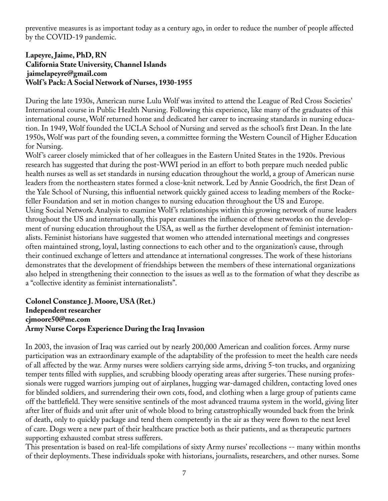preventive measures is as important today as a century ago, in order to reduce the number of people affected by the COVID-19 pandemic.

## **Lapeyre, Jaime, PhD, RN California State University, Channel Islands jaimelapeyre@gmail.com Wolf 's Pack: A Social Network of Nurses, 1930-1955**

During the late 1930s, American nurse Lulu Wolf was invited to attend the League of Red Cross Societies' International course in Public Health Nursing. Following this experience, like many of the graduates of this international course, Wolf returned home and dedicated her career to increasing standards in nursing education. In 1949, Wolf founded the UCLA School of Nursing and served as the school's first Dean. In the late 1950s, Wolf was part of the founding seven, a committee forming the Western Council of Higher Education for Nursing.

Wolf 's career closely mimicked that of her colleagues in the Eastern United States in the 1920s. Previous research has suggested that during the post-WWI period in an effort to both prepare much needed public health nurses as well as set standards in nursing education throughout the world, a group of American nurse leaders from the northeastern states formed a close-knit network. Led by Annie Goodrich, the first Dean of the Yale School of Nursing, this influential network quickly gained access to leading members of the Rockefeller Foundation and set in motion changes to nursing education throughout the US and Europe. Using Social Network Analysis to examine Wolf 's relationships within this growing network of nurse leaders throughout the US and internationally, this paper examines the influence of these networks on the development of nursing education throughout the USA, as well as the further development of feminist internationalists. Feminist historians have suggested that women who attended international meetings and congresses often maintained strong, loyal, lasting connections to each other and to the organization's cause, through their continued exchange of letters and attendance at international congresses. The work of these historians demonstrates that the development of friendships between the members of these international organizations also helped in strengthening their connection to the issues as well as to the formation of what they describe as a "collective identity as feminist internationalists".

#### **Colonel Constance J. Moore, USA (Ret.) Independent researcher cjmoore50@me.com Army Nurse Corps Experience During the Iraq Invasion**

In 2003, the invasion of Iraq was carried out by nearly 200,000 American and coalition forces. Army nurse participation was an extraordinary example of the adaptability of the profession to meet the health care needs of all affected by the war. Army nurses were soldiers carrying side arms, driving 5-ton trucks, and organizing temper tents filled with supplies, and scrubbing bloody operating areas after surgeries. These nursing professionals were rugged warriors jumping out of airplanes, hugging war-damaged children, contacting loved ones for blinded soldiers, and surrendering their own cots, food, and clothing when a large group of patients came off the battlefield. They were sensitive sentinels of the most advanced trauma system in the world, giving liter after liter of fluids and unit after unit of whole blood to bring catastrophically wounded back from the brink of death, only to quickly package and tend them competently in the air as they were flown to the next level of care. Dogs were a new part of their healthcare practice both as their patients, and as therapeutic partners supporting exhausted combat stress sufferers.

This presentation is based on real-life compilations of sixty Army nurses' recollections -- many within months of their deployments. These individuals spoke with historians, journalists, researchers, and other nurses. Some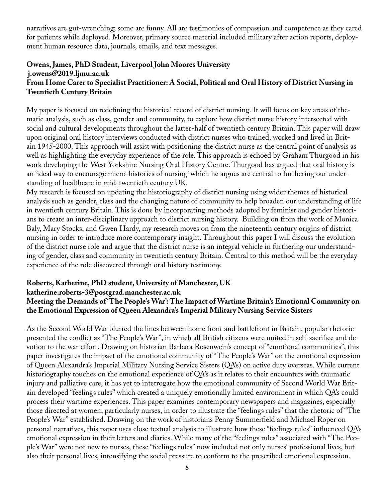narratives are gut-wrenching; some are funny. All are testimonies of compassion and competence as they cared for patients while deployed. Moreover, primary source material included military after action reports, deployment human resource data, journals, emails, and text messages.

#### **Owens, James, PhD Student, Liverpool John Moores University j.owens@2019.ljmu.ac.uk From Home Carer to Specialist Practitioner: A Social, Political and Oral History of District Nursing in Twentieth Century Britain**

My paper is focused on redefining the historical record of district nursing. It will focus on key areas of thematic analysis, such as class, gender and community, to explore how district nurse history intersected with social and cultural developments throughout the latter-half of twentieth century Britain. This paper will draw upon original oral history interviews conducted with district nurses who trained, worked and lived in Britain 1945-2000. This approach will assist with positioning the district nurse as the central point of analysis as well as highlighting the everyday experience of the role. This approach is echoed by Graham Thurgood in his work developing the West Yorkshire Nursing Oral History Centre. Thurgood has argued that oral history is an 'ideal way to encourage micro-histories of nursing' which he argues are central to furthering our understanding of healthcare in mid-twentieth century UK.

My research is focused on updating the historiography of district nursing using wider themes of historical analysis such as gender, class and the changing nature of community to help broaden our understanding of life in twentieth century Britain. This is done by incorporating methods adopted by feminist and gender historians to create an inter-disciplinary approach to district nursing history. Building on from the work of Monica Baly, Mary Stocks, and Gwen Hardy, my research moves on from the nineteenth century origins of district nursing in order to introduce more contemporary insight. Throughout this paper I will discuss the evolution of the district nurse role and argue that the district nurse is an integral vehicle in furthering our understanding of gender, class and community in twentieth century Britain. Central to this method will be the everyday experience of the role discovered through oral history testimony.

# **Roberts, Katherine, PhD student, University of Manchester, UK**

#### **katherine.roberts-3@postgrad.manchester.ac.uk**

#### **Meeting the Demands of 'The People's War': The Impact of Wartime Britain's Emotional Community on the Emotional Expression of Queen Alexandra's Imperial Military Nursing Service Sisters**

As the Second World War blurred the lines between home front and battlefront in Britain, popular rhetoric presented the conflict as "The People's War", in which all British citizens were united in self-sacrifice and devotion to the war effort. Drawing on historian Barbara Rosenwein's concept of "emotional communities", this paper investigates the impact of the emotional community of "The People's War" on the emotional expression of Queen Alexandra's Imperial Military Nursing Service Sisters (QA's) on active duty overseas. While current historiography touches on the emotional experience of QA's as it relates to their encounters with traumatic injury and palliative care, it has yet to interrogate how the emotional community of Second World War Britain developed "feelings rules" which created a uniquely emotionally limited environment in which QA's could process their wartime experiences. This paper examines contemporary newspapers and magazines, especially those directed at women, particularly nurses, in order to illustrate the "feelings rules" that the rhetoric of "The People's War" established. Drawing on the work of historians Penny Summerfield and Michael Roper on personal narratives, this paper uses close textual analysis to illustrate how these "feelings rules" influenced QA's emotional expression in their letters and diaries. While many of the "feelings rules" associated with "The People's War" were not new to nurses, these "feelings rules" now included not only nurses' professional lives, but also their personal lives, intensifying the social pressure to conform to the prescribed emotional expression.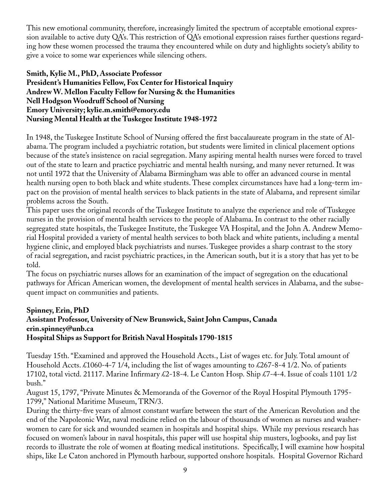This new emotional community, therefore, increasingly limited the spectrum of acceptable emotional expression available to active duty QA's. This restriction of QA's emotional expression raises further questions regarding how these women processed the trauma they encountered while on duty and highlights society's ability to give a voice to some war experiences while silencing others.

**Smith, Kylie M., PhD, Associate Professor President's Humanities Fellow, Fox Center for Historical Inquiry Andrew W. Mellon Faculty Fellow for Nursing & the Humanities Nell Hodgson Woodruff School of Nursing Emory University; kylie.m.smith@emory.edu Nursing Mental Health at the Tuskegee Institute 1948-1972**

In 1948, the Tuskegee Institute School of Nursing offered the first baccalaureate program in the state of Alabama. The program included a psychiatric rotation, but students were limited in clinical placement options because of the state's insistence on racial segregation. Many aspiring mental health nurses were forced to travel out of the state to learn and practice psychiatric and mental health nursing, and many never returned. It was not until 1972 that the University of Alabama Birmingham was able to offer an advanced course in mental health nursing open to both black and white students. These complex circumstances have had a long-term impact on the provision of mental health services to black patients in the state of Alabama, and represent similar problems across the South.

This paper uses the original records of the Tuskegee Institute to analyze the experience and role of Tuskegee nurses in the provision of mental health services to the people of Alabama. In contrast to the other racially segregated state hospitals, the Tuskegee Institute, the Tuskegee VA Hospital, and the John A. Andrew Memorial Hospital provided a variety of mental health services to both black and white patients, including a mental hygiene clinic, and employed black psychiatrists and nurses. Tuskegee provides a sharp contrast to the story of racial segregation, and racist psychiatric practices, in the American south, but it is a story that has yet to be told.

The focus on psychiatric nurses allows for an examination of the impact of segregation on the educational pathways for African American women, the development of mental health services in Alabama, and the subsequent impact on communities and patients.

#### **Spinney, Erin, PhD Assistant Professor, University of New Brunswick, Saint John Campus, Canada erin.spinney@unb.ca Hospital Ships as Support for British Naval Hospitals 1790-1815**

Tuesday 15th. "Examined and approved the Household Accts., List of wages etc. for July. Total amount of Household Accts. £1060-4-7 1/4, including the list of wages amounting to £267-8-4 1/2. No. of patients 17102, total victd. 21117. Marine Infirmary £2-18-4. Le Canton Hosp. Ship £7-4-4. Issue of coals 1101 1/2 bush."

August 15, 1797, "Private Minutes & Memoranda of the Governor of the Royal Hospital Plymouth 1795- 1799," National Maritime Museum, TRN/3.

During the thirty-five years of almost constant warfare between the start of the American Revolution and the end of the Napoleonic War, naval medicine relied on the labour of thousands of women as nurses and washerwomen to care for sick and wounded seamen in hospitals and hospital ships. While my previous research has focused on women's labour in naval hospitals, this paper will use hospital ship musters, logbooks, and pay list records to illustrate the role of women at floating medical institutions. Specifically, I will examine how hospital ships, like Le Caton anchored in Plymouth harbour, supported onshore hospitals. Hospital Governor Richard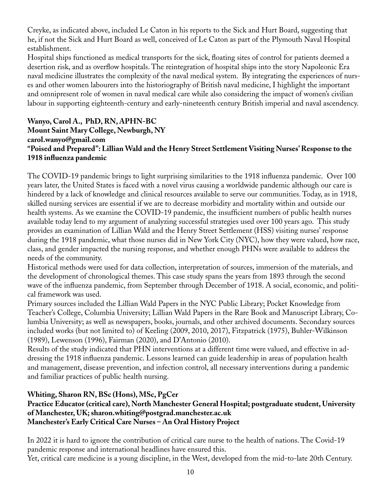Creyke, as indicated above, included Le Caton in his reports to the Sick and Hurt Board, suggesting that he, if not the Sick and Hurt Board as well, conceived of Le Caton as part of the Plymouth Naval Hospital establishment.

Hospital ships functioned as medical transports for the sick, floating sites of control for patients deemed a desertion risk, and as overflow hospitals. The reintegration of hospital ships into the story Napoleonic Era naval medicine illustrates the complexity of the naval medical system. By integrating the experiences of nurses and other women labourers into the historiography of British naval medicine, I highlight the important and omnipresent role of women in naval medical care while also considering the impact of women's civilian labour in supporting eighteenth-century and early-nineteenth century British imperial and naval ascendency.

## **Wanyo, Carol A., PhD, RN, APHN-BC Mount Saint Mary College, Newburgh, NY carol.wanyo@gmail.com "Poised and Prepared": Lillian Wald and the Henry Street Settlement Visiting Nurses' Response to the 1918 influenza pandemic**

The COVID-19 pandemic brings to light surprising similarities to the 1918 influenza pandemic. Over 100 years later, the United States is faced with a novel virus causing a worldwide pandemic although our care is hindered by a lack of knowledge and clinical resources available to serve our communities. Today, as in 1918, skilled nursing services are essential if we are to decrease morbidity and mortality within and outside our health systems. As we examine the COVID-19 pandemic, the insufficient numbers of public health nurses available today lend to my argument of analyzing successful strategies used over 100 years ago. This study provides an examination of Lillian Wald and the Henry Street Settlement (HSS) visiting nurses' response during the 1918 pandemic, what those nurses did in New York City (NYC), how they were valued, how race, class, and gender impacted the nursing response, and whether enough PHNs were available to address the needs of the community.

Historical methods were used for data collection, interpretation of sources, immersion of the materials, and the development of chronological themes. This case study spans the years from 1893 through the second wave of the influenza pandemic, from September through December of 1918. A social, economic, and political framework was used.

Primary sources included the Lillian Wald Papers in the NYC Public Library; Pocket Knowledge from Teacher's College, Columbia University; Lillian Wald Papers in the Rare Book and Manuscript Library, Columbia University; as well as newspapers, books, journals, and other archived documents. Secondary sources included works (but not limited to) of Keeling (2009, 2010, 2017), Fitzpatrick (1975), Buhler-Wilkinson (1989), Lewenson (1996), Fairman (2020), and D'Antonio (2010).

Results of the study indicated that PHN interventions at a different time were valued, and effective in addressing the 1918 influenza pandemic. Lessons learned can guide leadership in areas of population health and management, disease prevention, and infection control, all necessary interventions during a pandemic and familiar practices of public health nursing.

# **Whiting, Sharon RN, BSc (Hons), MSc, PgCer**

# **Practice Educator (critical care), North Manchester General Hospital; postgraduate student, University of Manchester, UK; sharon.whiting@postgrad.manchester.ac.uk Manchester's Early Critical Care Nurses – An Oral History Project**

In 2022 it is hard to ignore the contribution of critical care nurse to the health of nations. The Covid-19 pandemic response and international headlines have ensured this. Yet, critical care medicine is a young discipline, in the West, developed from the mid-to-late 20th Century.